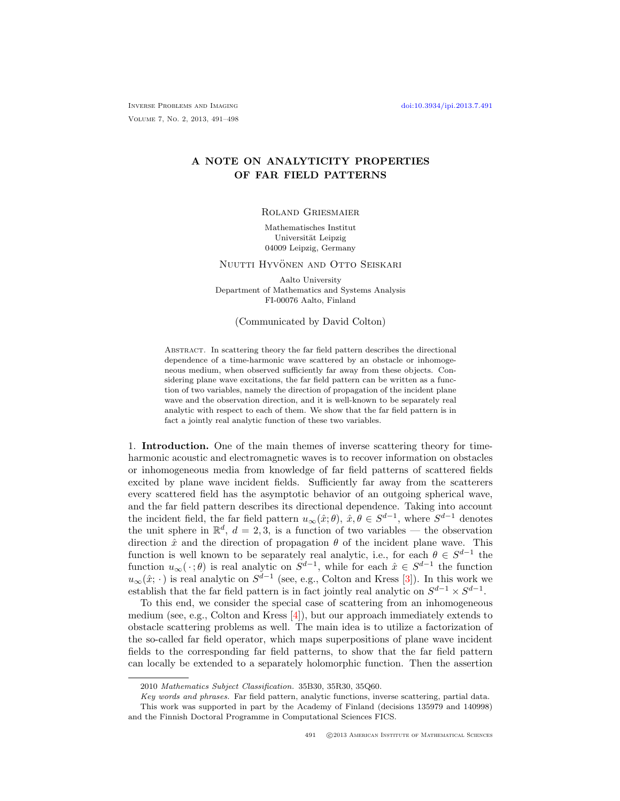Inverse Problems and Imaging [doi:10.3934/ipi.2013.7.491](http://dx.doi.org/10.3934/ipi.2013.7.491) Volume 7, No. 2, 2013, 491–498

# A NOTE ON ANALYTICITY PROPERTIES OF FAR FIELD PATTERNS

## Roland Griesmaier

Mathematisches Institut Universität Leipzig 04009 Leipzig, Germany

#### NUUTTI HYVÖNEN AND OTTO SEISKARI

Aalto University Department of Mathematics and Systems Analysis FI-00076 Aalto, Finland

#### (Communicated by David Colton)

Abstract. In scattering theory the far field pattern describes the directional dependence of a time-harmonic wave scattered by an obstacle or inhomogeneous medium, when observed sufficiently far away from these objects. Considering plane wave excitations, the far field pattern can be written as a function of two variables, namely the direction of propagation of the incident plane wave and the observation direction, and it is well-known to be separately real analytic with respect to each of them. We show that the far field pattern is in fact a jointly real analytic function of these two variables.

1. Introduction. One of the main themes of inverse scattering theory for timeharmonic acoustic and electromagnetic waves is to recover information on obstacles or inhomogeneous media from knowledge of far field patterns of scattered fields excited by plane wave incident fields. Sufficiently far away from the scatterers every scattered field has the asymptotic behavior of an outgoing spherical wave, and the far field pattern describes its directional dependence. Taking into account the incident field, the far field pattern  $u_{\infty}(\hat{x};\theta)$ ,  $\hat{x}, \theta \in S^{d-1}$ , where  $S^{d-1}$  denotes the unit sphere in  $\mathbb{R}^d$ ,  $d = 2, 3$ , is a function of two variables — the observation direction  $\hat{x}$  and the direction of propagation  $\theta$  of the incident plane wave. This function is well known to be separately real analytic, i.e., for each  $\theta \in S^{d-1}$  the function  $u_{\infty}(\cdot;\theta)$  is real analytic on  $S^{d-1}$ , while for each  $\hat{x} \in S^{d-1}$  the function  $u_{\infty}(\hat{x}; \cdot)$  is real analytic on  $S^{d-1}$  (see, e.g., Colton and Kress [\[3\]](#page-6-0)). In this work we establish that the far field pattern is in fact jointly real analytic on  $S^{d-1} \times S^{d-1}$ .

To this end, we consider the special case of scattering from an inhomogeneous medium (see, e.g., Colton and Kress [\[4\]](#page-6-1)), but our approach immediately extends to obstacle scattering problems as well. The main idea is to utilize a factorization of the so-called far field operator, which maps superpositions of plane wave incident fields to the corresponding far field patterns, to show that the far field pattern can locally be extended to a separately holomorphic function. Then the assertion

<sup>2010</sup> Mathematics Subject Classification. 35B30, 35R30, 35Q60.

Key words and phrases. Far field pattern, analytic functions, inverse scattering, partial data. This work was supported in part by the Academy of Finland (decisions 135979 and 140998) and the Finnish Doctoral Programme in Computational Sciences FICS.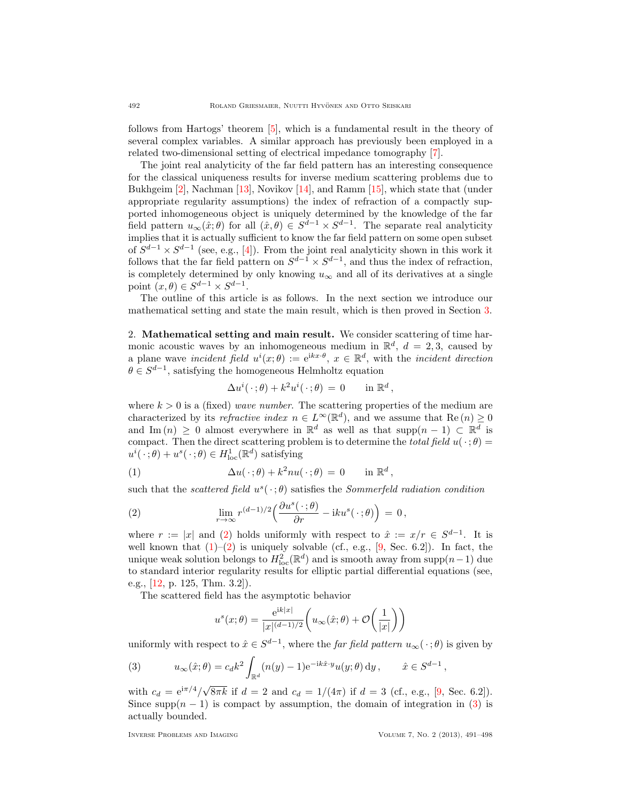follows from Hartogs' theorem [\[5\]](#page-6-2), which is a fundamental result in the theory of several complex variables. A similar approach has previously been employed in a related two-dimensional setting of electrical impedance tomography [\[7\]](#page-6-3).

The joint real analyticity of the far field pattern has an interesting consequence for the classical uniqueness results for inverse medium scattering problems due to Bukhgeim [\[2\]](#page-6-4), Nachman [\[13\]](#page-6-5), Novikov [\[14\]](#page-6-6), and Ramm [\[15\]](#page-7-0), which state that (under appropriate regularity assumptions) the index of refraction of a compactly supported inhomogeneous object is uniquely determined by the knowledge of the far field pattern  $u_{\infty}(\hat{x};\theta)$  for all  $(\hat{x},\theta) \in S^{d-1} \times S^{d-1}$ . The separate real analyticity implies that it is actually sufficient to know the far field pattern on some open subset of  $S^{d-1} \times S^{d-1}$  (see, e.g., [\[4\]](#page-6-1)). From the joint real analyticity shown in this work it follows that the far field pattern on  $S^{d-1} \times S^{d-1}$ , and thus the index of refraction, is completely determined by only knowing  $u_{\infty}$  and all of its derivatives at a single point  $(x, \theta) \in S^{d-1} \times S^{d-1}$ .

The outline of this article is as follows. In the next section we introduce our mathematical setting and state the main result, which is then proved in Section [3.](#page-3-0)

2. Mathematical setting and main result. We consider scattering of time harmonic acoustic waves by an inhomogeneous medium in  $\mathbb{R}^d$ ,  $d = 2,3$ , caused by a plane wave incident field  $u^i(x;\theta) := e^{ikx \cdot \theta}, x \in \mathbb{R}^d$ , with the incident direction  $\theta \in S^{d-1}$ , satisfying the homogeneous Helmholtz equation

<span id="page-1-1"></span>
$$
\Delta u^i(\,\cdot\,;\theta) + k^2 u^i(\,\cdot\,;\theta) = 0 \quad \text{in } \mathbb{R}^d,
$$

where  $k > 0$  is a (fixed) wave number. The scattering properties of the medium are characterized by its *refractive index*  $n \in L^{\infty}(\mathbb{R}^d)$ , and we assume that  $\text{Re}(n) \geq 0$ and Im  $(n) \geq 0$  almost everywhere in  $\mathbb{R}^d$  as well as that supp $(n-1) \subset \mathbb{R}^d$  is compact. Then the direct scattering problem is to determine the *total field*  $u(\cdot;\theta)$  =  $u^{i}(\cdot;\theta) + u^{s}(\cdot;\theta) \in H_{\text{loc}}^{1}(\mathbb{R}^{d})$  satisfying

(1) 
$$
\Delta u(\cdot;\theta) + k^2 n u(\cdot;\theta) = 0 \quad \text{in } \mathbb{R}^d,
$$

such that the scattered field  $u^s(\cdot;\theta)$  satisfies the Sommerfeld radiation condition

<span id="page-1-0"></span>(2) 
$$
\lim_{r \to \infty} r^{(d-1)/2} \left( \frac{\partial u^s(\,\cdot\,;\theta)}{\partial r} - \mathrm{i} k u^s(\,\cdot\,;\theta) \right) \,=\, 0 \,,
$$

where  $r := |x|$  and [\(2\)](#page-1-0) holds uniformly with respect to  $\hat{x} := x/r \in S^{d-1}$ . It is well known that  $(1)$ – $(2)$  is uniquely solvable (cf., e.g., [\[9,](#page-6-7) Sec. 6.2]). In fact, the unique weak solution belongs to  $H_{\text{loc}}^2(\mathbb{R}^d)$  and is smooth away from supp $(n-1)$  due to standard interior regularity results for elliptic partial differential equations (see, e.g., [\[12,](#page-6-8) p. 125, Thm. 3.2]).

The scattered field has the asymptotic behavior

$$
u^{s}(x; \theta) = \frac{\mathrm{e}^{\mathrm{i}k|x|}}{|x|^{(d-1)/2}} \bigg( u_{\infty}(\hat{x}; \theta) + \mathcal{O}\bigg( \frac{1}{|x|} \bigg) \bigg)
$$

uniformly with respect to  $\hat{x} \in S^{d-1}$ , where the *far field pattern*  $u_{\infty}(\cdot;\theta)$  is given by

<span id="page-1-2"></span>(3) 
$$
u_{\infty}(\hat{x};\theta) = c_d k^2 \int_{\mathbb{R}^d} (n(y)-1) e^{-ik\hat{x}\cdot y} u(y;\theta) dy, \qquad \hat{x} \in S^{d-1},
$$

with  $c_d = e^{i\pi/4}/\sqrt{ }$  $8\pi k$  if  $d = 2$  and  $c_d = 1/(4\pi)$  if  $d = 3$  (cf., e.g., [\[9,](#page-6-7) Sec. 6.2]). Since supp $(n - 1)$  is compact by assumption, the domain of integration in [\(3\)](#page-1-2) is actually bounded.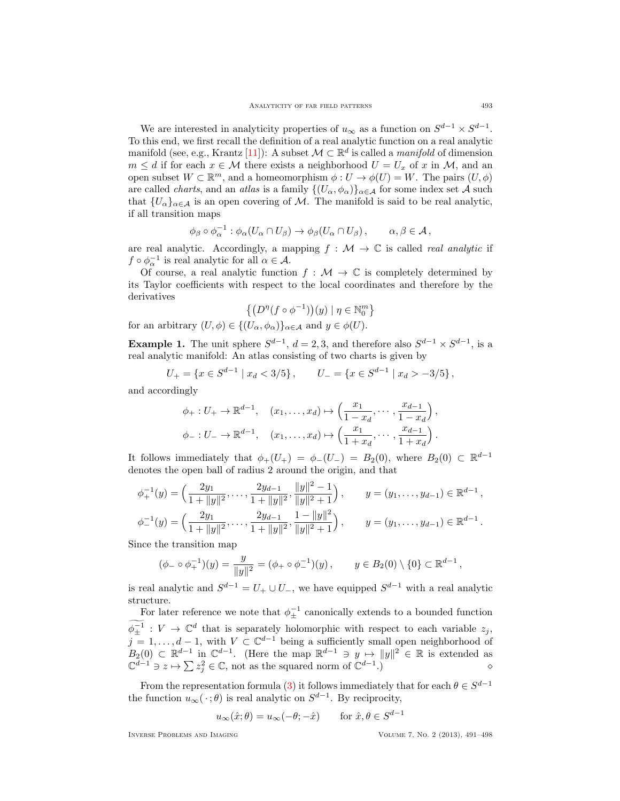We are interested in analyticity properties of  $u_{\infty}$  as a function on  $S^{d-1} \times S^{d-1}$ . To this end, we first recall the definition of a real analytic function on a real analytic manifold (see, e.g., Krantz [\[11\]](#page-6-9)): A subset  $\mathcal{M} \subset \mathbb{R}^d$  is called a *manifold* of dimension  $m \leq d$  if for each  $x \in \mathcal{M}$  there exists a neighborhood  $U = U_x$  of x in  $\mathcal{M}$ , and an open subset  $W \subset \mathbb{R}^m$ , and a homeomorphism  $\phi: U \to \phi(U) = W$ . The pairs  $(U, \phi)$ are called *charts*, and an *atlas* is a family  $\{(U_{\alpha}, \phi_{\alpha})\}_{\alpha \in \mathcal{A}}$  for some index set A such that  ${U_{\alpha}}_{\alpha \in \mathcal{A}}$  is an open covering of M. The manifold is said to be real analytic, if all transition maps

$$
\phi_{\beta} \circ \phi_{\alpha}^{-1} : \phi_{\alpha}(U_{\alpha} \cap U_{\beta}) \to \phi_{\beta}(U_{\alpha} \cap U_{\beta}), \qquad \alpha, \beta \in \mathcal{A},
$$

are real analytic. Accordingly, a mapping  $f : \mathcal{M} \to \mathbb{C}$  is called *real analytic* if  $f \circ \phi_{\alpha}^{-1}$  is real analytic for all  $\alpha \in \mathcal{A}$ .

Of course, a real analytic function  $f : \mathcal{M} \to \mathbb{C}$  is completely determined by its Taylor coefficients with respect to the local coordinates and therefore by the derivatives

$$
\left\{ \left( D^{\eta}(f \circ \phi^{-1}) \right) (y) \mid \eta \in \mathbb{N}_0^m \right\}
$$

for an arbitrary  $(U, \phi) \in \{(U_\alpha, \phi_\alpha)\}_{\alpha \in \mathcal{A}}$  and  $y \in \phi(U)$ .

<span id="page-2-0"></span>**Example 1.** The unit sphere  $S^{d-1}$ ,  $d = 2, 3$ , and therefore also  $S^{d-1} \times S^{d-1}$ , is a real analytic manifold: An atlas consisting of two charts is given by

$$
U_{+} = \{ x \in S^{d-1} \mid x_d < 3/5 \}, \qquad U_{-} = \{ x \in S^{d-1} \mid x_d > -3/5 \},
$$

and accordingly

$$
\phi_+: U_+ \to \mathbb{R}^{d-1}, \quad (x_1, \ldots, x_d) \mapsto \left(\frac{x_1}{1-x_d}, \cdots, \frac{x_{d-1}}{1-x_d}\right),
$$
  

$$
\phi_-: U_- \to \mathbb{R}^{d-1}, \quad (x_1, \ldots, x_d) \mapsto \left(\frac{x_1}{1+x_d}, \cdots, \frac{x_{d-1}}{1+x_d}\right).
$$

It follows immediately that  $\phi_+(U_+) = \phi_-(U_-) = B_2(0)$ , where  $B_2(0) \subset \mathbb{R}^{d-1}$ denotes the open ball of radius 2 around the origin, and that

$$
\phi_+^{-1}(y) = \left(\frac{2y_1}{1 + \|y\|^2}, \dots, \frac{2y_{d-1}}{1 + \|y\|^2}, \frac{\|y\|^2 - 1}{\|y\|^2 + 1}\right), \qquad y = (y_1, \dots, y_{d-1}) \in \mathbb{R}^{d-1},
$$
  

$$
\phi_-^{-1}(y) = \left(\frac{2y_1}{1 + \|y\|^2}, \dots, \frac{2y_{d-1}}{1 + \|y\|^2}, \frac{1 - \|y\|^2}{\|y\|^2 + 1}\right), \qquad y = (y_1, \dots, y_{d-1}) \in \mathbb{R}^{d-1}.
$$

Since the transition map

$$
(\phi_- \circ \phi_+^{-1})(y) = \frac{y}{\|y\|^2} = (\phi_+ \circ \phi_-^{-1})(y), \qquad y \in B_2(0) \setminus \{0\} \subset \mathbb{R}^{d-1},
$$

is real analytic and  $S^{d-1} = U_+ \cup U_-,$  we have equipped  $S^{d-1}$  with a real analytic structure.

For later reference we note that  $\phi_{\pm}^{-1}$  canonically extends to a bounded function  $\phi^{-1}_{\pm}$ :  $V \to \mathbb{C}^d$  that is separately holomorphic with respect to each variable  $z_j$ ,  $j = 1, \ldots, d - 1$ , with  $V \subset \mathbb{C}^{d-1}$  being a sufficiently small open neighborhood of  $B_2(0) \subset \mathbb{R}^{d-1}$  in  $\mathbb{C}^{d-1}$ . (Here the map  $\mathbb{R}^{d-1} \ni y \mapsto ||y||^2 \in \mathbb{R}$  is extended as  $\mathbb{C}^{d-1} \ni z \mapsto \sum z_j^2 \in \mathbb{C}$ , not as the squared norm of  $\mathbb{C}^{d-1}$ .)

From the representation formula [\(3\)](#page-1-2) it follows immediately that for each  $\theta \in S^{d-1}$ the function  $u_{\infty}(\cdot;\theta)$  is real analytic on  $S^{d-1}$ . By reciprocity,

$$
u_{\infty}(\hat{x};\theta) = u_{\infty}(-\theta; -\hat{x}) \quad \text{for } \hat{x}, \theta \in S^{d-1}
$$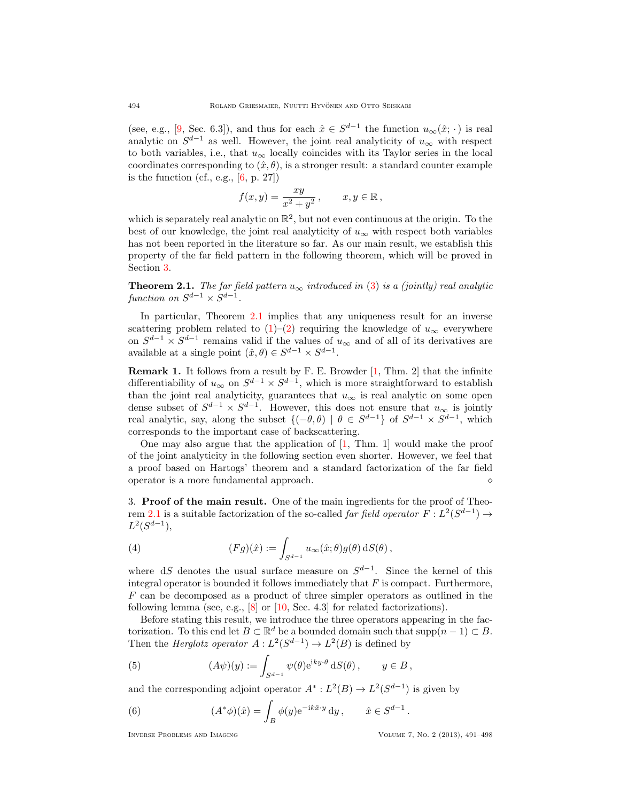(see, e.g., [\[9,](#page-6-7) Sec. 6.3]), and thus for each  $\hat{x} \in S^{d-1}$  the function  $u_{\infty}(\hat{x}; \cdot)$  is real analytic on  $S^{d-1}$  as well. However, the joint real analyticity of  $u_{\infty}$  with respect to both variables, i.e., that  $u_{\infty}$  locally coincides with its Taylor series in the local coordinates corresponding to  $(\hat{x}, \theta)$ , is a stronger result: a standard counter example is the function  $(cf., e.g., [6, p. 27])$  $(cf., e.g., [6, p. 27])$  $(cf., e.g., [6, p. 27])$ 

$$
f(x,y) = \frac{xy}{x^2 + y^2}, \qquad x, y \in \mathbb{R},
$$

which is separately real analytic on  $\mathbb{R}^2$ , but not even continuous at the origin. To the best of our knowledge, the joint real analyticity of  $u_{\infty}$  with respect both variables has not been reported in the literature so far. As our main result, we establish this property of the far field pattern in the following theorem, which will be proved in Section [3.](#page-3-0)

<span id="page-3-1"></span>**Theorem 2.1.** The far field pattern  $u_{\infty}$  introduced in [\(3\)](#page-1-2) is a (jointly) real analytic function on  $S^{d-1} \times S^{d-1}$ .

In particular, Theorem [2.1](#page-3-1) implies that any uniqueness result for an inverse scattering problem related to [\(1\)](#page-1-1)–[\(2\)](#page-1-0) requiring the knowledge of  $u_{\infty}$  everywhere on  $S^{d-1} \times S^{d-1}$  remains valid if the values of  $u_{\infty}$  and of all of its derivatives are available at a single point  $(\hat{x}, \theta) \in S^{d-1} \times S^{d-1}$ .

Remark 1. It follows from a result by F. E. Browder [\[1,](#page-6-11) Thm. 2] that the infinite differentiability of  $u_{\infty}$  on  $S^{d-1} \times S^{d-1}$ , which is more straightforward to establish than the joint real analyticity, guarantees that  $u_{\infty}$  is real analytic on some open dense subset of  $S^{d-1} \times S^{d-1}$ . However, this does not ensure that  $u_{\infty}$  is jointly real analytic, say, along the subset  $\{(-\theta, \theta) | \theta \in S^{d-1}\}$  of  $S^{d-1} \times S^{d-1}$ , which corresponds to the important case of backscattering.

One may also argue that the application of  $[1, Thm. 1]$  would make the proof of the joint analyticity in the following section even shorter. However, we feel that a proof based on Hartogs' theorem and a standard factorization of the far field operator is a more fundamental approach.

<span id="page-3-0"></span>3. Proof of the main result. One of the main ingredients for the proof of Theo-rem [2.1](#page-3-1) is a suitable factorization of the so-called *far field operator*  $F: L^2(S^{d-1}) \to$  $L^2(S^{d-1}),$ 

<span id="page-3-4"></span>(4) 
$$
(Fg)(\hat{x}) := \int_{S^{d-1}} u_{\infty}(\hat{x}; \theta) g(\theta) \, dS(\theta),
$$

where dS denotes the usual surface measure on  $S^{d-1}$ . Since the kernel of this integral operator is bounded it follows immediately that  $F$  is compact. Furthermore, F can be decomposed as a product of three simpler operators as outlined in the following lemma (see, e.g., [\[8\]](#page-6-12) or [\[10,](#page-6-13) Sec. 4.3] for related factorizations).

Before stating this result, we introduce the three operators appearing in the factorization. To this end let  $B \subset \mathbb{R}^d$  be a bounded domain such that  $\text{supp}(n-1) \subset B$ . Then the *Herglotz operator*  $A: L^2(S^{d-1}) \to L^2(B)$  is defined by

<span id="page-3-2"></span>(5) 
$$
(A\psi)(y) := \int_{S^{d-1}} \psi(\theta) e^{iky \cdot \theta} dS(\theta), \qquad y \in B,
$$

and the corresponding adjoint operator  $A^*: L^2(B) \to L^2(S^{d-1})$  is given by

<span id="page-3-3"></span>(6) 
$$
(A^*\phi)(\hat{x}) = \int_B \phi(y) e^{-ik\hat{x}\cdot y} dy, \qquad \hat{x} \in S^{d-1}.
$$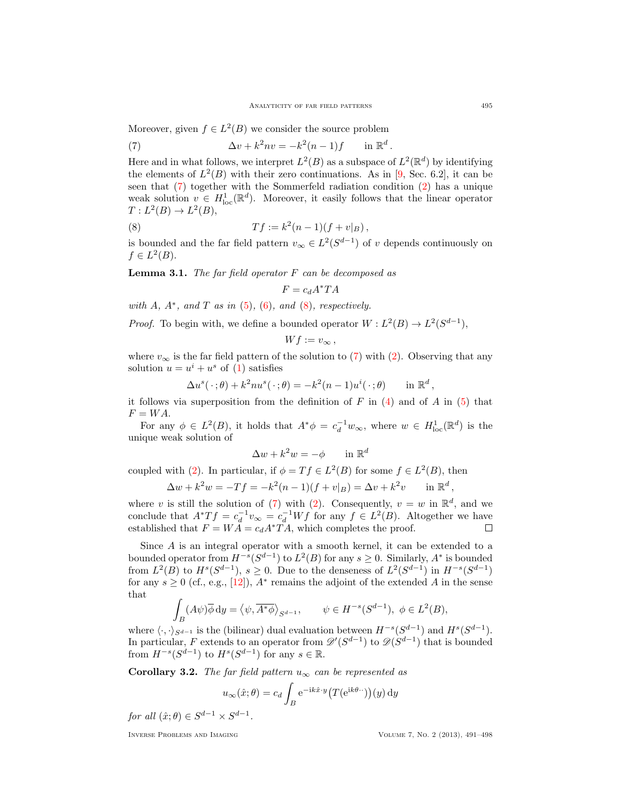.

Moreover, given  $f \in L^2(B)$  we consider the source problem

<span id="page-4-0"></span>(7) 
$$
\Delta v + k^2 n v = -k^2 (n-1) f \quad \text{in } \mathbb{R}^d
$$

Here and in what follows, we interpret  $L^2(B)$  as a subspace of  $L^2(\mathbb{R}^d)$  by identifying the elements of  $L^2(B)$  with their zero continuations. As in [\[9,](#page-6-7) Sec. 6.2], it can be seen that [\(7\)](#page-4-0) together with the Sommerfeld radiation condition [\(2\)](#page-1-0) has a unique weak solution  $v \in H^1_{loc}(\mathbb{R}^d)$ . Moreover, it easily follows that the linear operator  $T: L^2(B) \to L^2(B),$ 

(8) 
$$
Tf := k^2(n-1)(f + v|_B),
$$

is bounded and the far field pattern  $v_{\infty} \in L^2(S^{d-1})$  of v depends continuously on  $f \in L^2(B)$ .

**Lemma 3.1.** The far field operator  $F$  can be decomposed as

<span id="page-4-1"></span>
$$
F = c_d A^* T A
$$

with  $A$ ,  $A^*$ , and  $T$  as in [\(5\)](#page-3-2), [\(6\)](#page-3-3), and [\(8\)](#page-4-1), respectively.

*Proof.* To begin with, we define a bounded operator  $W : L^2(B) \to L^2(S^{d-1}),$ 

$$
Wf := v_{\infty} \,,
$$

where  $v_{\infty}$  is the far field pattern of the solution to [\(7\)](#page-4-0) with [\(2\)](#page-1-0). Observing that any solution  $u = u^i + u^s$  of [\(1\)](#page-1-1) satisfies

$$
\Delta u^{s}(\cdot;\theta) + k^{2}nu^{s}(\cdot;\theta) = -k^{2}(n-1)u^{i}(\cdot;\theta) \quad \text{in } \mathbb{R}^{d},
$$

it follows via superposition from the definition of F in  $(4)$  and of A in  $(5)$  that  $F = WA$ .

For any  $\phi \in L^2(B)$ , it holds that  $A^*\phi = c_d^{-1}w_\infty$ , where  $w \in H^1_{loc}(\mathbb{R}^d)$  is the unique weak solution of

$$
\Delta w + k^2 w = -\phi \qquad \text{in } \mathbb{R}^d
$$

coupled with [\(2\)](#page-1-0). In particular, if  $\phi = Tf \in L^2(B)$  for some  $f \in L^2(B)$ , then

$$
\Delta w + k^2 w = -Tf = -k^2(n-1)(f + v|_B) = \Delta v + k^2 v \quad \text{in } \mathbb{R}^d
$$

where v is still the solution of [\(7\)](#page-4-0) with [\(2\)](#page-1-0). Consequently,  $v = w$  in  $\mathbb{R}^d$ , and we conclude that  $A^*Tf = c_d^{-1}v_{\infty} = c_d^{-1}Wf$  for any  $f \in L^2(B)$ . Altogether we have established that  $F = W\overline{A} = c_d A^* \overline{T} \overline{A}$ , which completes the proof.

Since A is an integral operator with a smooth kernel, it can be extended to a bounded operator from  $H^{-s}(S^{d-1})$  to  $L^2(B)$  for any  $s \geq 0$ . Similarly,  $A^*$  is bounded from  $L^2(B)$  to  $H^s(S^{d-1}), s \geq 0$ . Due to the denseness of  $L^2(S^{d-1})$  in  $H^{-s}(S^{d-1})$ for any  $s \geq 0$  (cf., e.g., [\[12\]](#page-6-8)),  $A^*$  remains the adjoint of the extended A in the sense that

$$
\int_B (A\psi)\overline{\phi} \, \mathrm{d}y = \langle \psi, \overline{A^*\phi} \rangle_{S^{d-1}}, \qquad \psi \in H^{-s}(S^{d-1}), \ \phi \in L^2(B),
$$

where  $\langle \cdot, \cdot \rangle_{S^{d-1}}$  is the (bilinear) dual evaluation between  $H^{-s}(S^{d-1})$  and  $H^{s}(S^{d-1})$ . In particular, F extends to an operator from  $\mathscr{D}'(S^{d-1})$  to  $\mathscr{D}(S^{d-1})$  that is bounded from  $H^{-s}(S^{d-1})$  to  $H^s(S^{d-1})$  for any  $s \in \mathbb{R}$ .

Corollary 3.2. The far field pattern  $u_{\infty}$  can be represented as

$$
u_{\infty}(\hat{x};\theta) = c_d \int_B e^{-ik\hat{x}\cdot y} \left( T(e^{ik\theta \cdot \cdot}) \right) (y) dy
$$
  
 
$$
\times S^{d-1}.
$$

for all  $(\hat{x}; \theta) \in S^{d-1} \times S$ 

,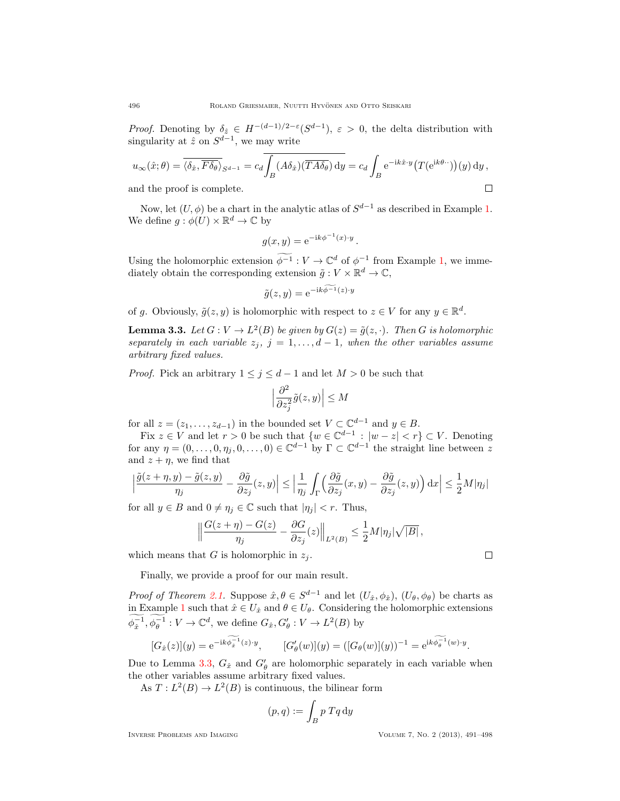*Proof.* Denoting by  $\delta_{\hat{z}} \in H^{-(d-1)/2-\epsilon}(S^{d-1}), \epsilon > 0$ , the delta distribution with singularity at  $\hat{z}$  on  $S^{d-1}$ , we may write

$$
u_{\infty}(\hat{x};\theta) = \overline{\langle \delta_{\hat{x}}, \overline{F \delta_{\theta}} \rangle}_{S^{d-1}} = c_d \overline{\int_B (A \delta_{\hat{x}}) (\overline{T A \delta_{\theta}}) dy} = c_d \int_B e^{-ik\hat{x} \cdot y} \big( T(e^{ik\theta \cdot \cdot}) \big)(y) dy,
$$
  
and the proof is complete.

and the proof is complete.

Now, let  $(U, \phi)$  be a chart in the analytic atlas of  $S^{d-1}$  as described in Example [1.](#page-2-0) We define  $g : \phi(U) \times \mathbb{R}^d \to \mathbb{C}$  by

$$
g(x,y) = e^{-ik\phi^{-1}(x)\cdot y}.
$$

Using the holomorphic extension  $\widetilde{\phi^{-1}} : V \to \mathbb{C}^d$  of  $\phi^{-1}$  from Example [1,](#page-2-0) we immediately obtain the corresponding extension  $\tilde{g}: V \times \mathbb{R}^d \to \mathbb{C}$ ,

$$
\tilde{g}(z, y) = e^{-ik\phi^{-1}(z) \cdot y}
$$

of g. Obviously,  $\tilde{g}(z, y)$  is holomorphic with respect to  $z \in V$  for any  $y \in \mathbb{R}^d$ .

<span id="page-5-0"></span>**Lemma 3.3.** Let  $G: V \to L^2(B)$  be given by  $G(z) = \tilde{g}(z, \cdot)$ . Then G is holomorphic separately in each variable  $z_j$ ,  $j = 1, \ldots, d - 1$ , when the other variables assume arbitrary fixed values.

*Proof.* Pick an arbitrary  $1 \leq j \leq d-1$  and let  $M > 0$  be such that

$$
\Big|\frac{\partial^2}{\partial z_j^2}\tilde g(z,y)\Big|\leq M
$$

for all  $z = (z_1, \ldots, z_{d-1})$  in the bounded set  $V \subset \mathbb{C}^{d-1}$  and  $y \in B$ .

Fix  $z \in V$  and let  $r > 0$  be such that  $\{w \in \mathbb{C}^{d-1} : |w - z| < r\} \subset V$ . Denoting for any  $\eta = (0, \ldots, 0, \eta_j, 0, \ldots, 0) \in \mathbb{C}^{d-1}$  by  $\Gamma \subset \mathbb{C}^{d-1}$  the straight line between z and  $z + \eta$ , we find that

$$
\Big|\frac{\tilde g(z+\eta,y)-\tilde g(z,y)}{\eta_j}-\frac{\partial \tilde g}{\partial z_j}(z,y)\Big|\leq \Big|\frac{1}{\eta_j}\int_{\Gamma}\Big(\frac{\partial \tilde g}{\partial z_j}(x,y)-\frac{\partial \tilde g}{\partial z_j}(z,y)\Big)\,\mathrm{d} x\Big|\leq \frac{1}{2}M|\eta_j|
$$

for all  $y \in B$  and  $0 \neq \eta_j \in \mathbb{C}$  such that  $|\eta_j| < r$ . Thus,

$$
\left\|\frac{G(z+\eta)-G(z)}{\eta_j}-\frac{\partial G}{\partial z_j}(z)\right\|_{L^2(B)}\leq \frac{1}{2}M|\eta_j|\sqrt{|B|}\,,
$$

which means that G is holomorphic in  $z_i$ .

Finally, we provide a proof for our main result.

*Proof of Theorem [2.1.](#page-3-1)* Suppose  $\hat{x}, \theta \in S^{d-1}$  and let  $(U_{\hat{x}}, \phi_{\hat{x}}), (U_{\theta}, \phi_{\theta})$  be charts as in Example [1](#page-2-0) such that  $\hat{x} \in U_{\hat{x}}$  and  $\theta \in U_{\theta}$ . Considering the holomorphic extensions  $\phi_{\hat{x}}^{-1}, \phi_{\theta}^{-1}: V \to \mathbb{C}^d$ , we define  $G_{\hat{x}}, G'_{\theta}: V \to L^2(B)$  by

$$
[G_{\hat{x}}(z)](y) = e^{-ik\phi_{\hat{x}}^{-1}(z)\cdot y}, \qquad [G'_{\theta}(w)](y) = ([G_{\theta}(w)](y))^{-1} = e^{ik\phi_{\theta}^{-1}(w)\cdot y}.
$$

Due to Lemma [3.3,](#page-5-0)  $G_{\hat{x}}$  and  $G'_{\theta}$  are holomorphic separately in each variable when the other variables assume arbitrary fixed values.

As  $T: L^2(B) \to L^2(B)$  is continuous, the bilinear form

$$
(p,q) := \int_B p \; Tq \, \mathrm{d}y
$$

Inverse Problems and Imaging Volume 7, No. 2 (2013), 491–498

 $\Box$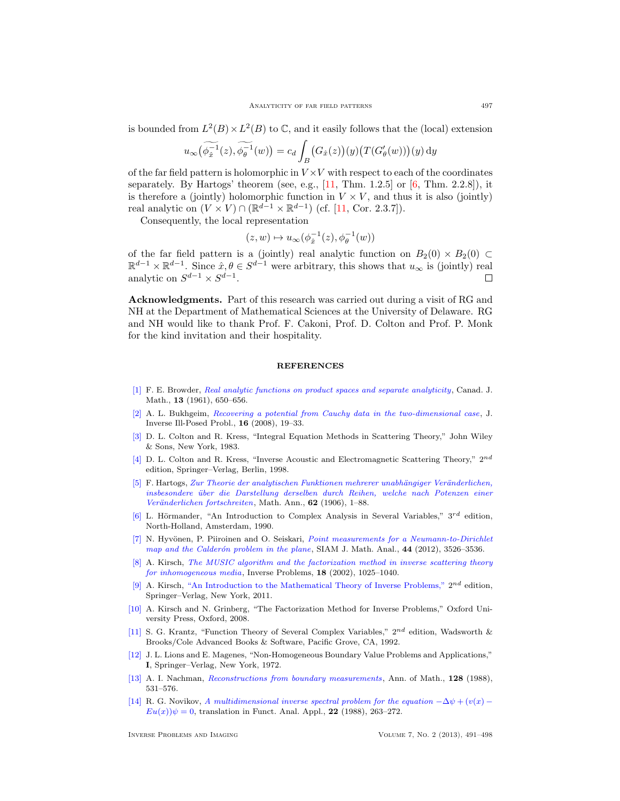is bounded from  $L^2(B) \times L^2(B)$  to  $\mathbb{C}$ , and it easily follows that the (local) extension

$$
u_{\infty}(\widetilde{\phi_{\hat{x}}^{-1}}(z), \widetilde{\phi_{\theta}^{-1}}(w)) = c_d \int_B \big(G_{\hat{x}}(z)\big)(y) \big(T(G'_{\theta}(w))\big)(y) \,dy
$$

of the far field pattern is holomorphic in  $V \times V$  with respect to each of the coordinates separately. By Hartogs' theorem (see, e.g.,  $[11, Thm. 1.2.5]$  or  $[6, Thm. 2.2.8]$ ), it is therefore a (jointly) holomorphic function in  $V \times V$ , and thus it is also (jointly) real analytic on  $(V \times V) \cap (\mathbb{R}^{d-1} \times \mathbb{R}^{d-1})$  (cf. [\[11,](#page-6-9) Cor. 2.3.7]).

Consequently, the local representation

$$
(z,w)\mapsto u_\infty(\phi^{-1}_{\hat x}(z),\phi^{-1}_{\theta}(w))
$$

of the far field pattern is a (jointly) real analytic function on  $B_2(0) \times B_2(0) \subset$  $\mathbb{R}^{d-1}\times\mathbb{R}^{d-1}$ . Since  $\hat{x},\theta\in S^{d-1}$  were arbitrary, this shows that  $u_{\infty}$  is (jointly) real analytic on  $S^{d-1} \times S^{d-1}$ . П

Acknowledgments. Part of this research was carried out during a visit of RG and NH at the Department of Mathematical Sciences at the University of Delaware. RG and NH would like to thank Prof. F. Cakoni, Prof. D. Colton and Prof. P. Monk for the kind invitation and their hospitality.

### **REFERENCES**

- <span id="page-6-11"></span>[\[1\]](http://www.ams.org/mathscinet-getitem?mr=MR0132395&return=pdf) F. E. Browder, [Real analytic functions on product spaces and separate analyticity](http://dx.doi.org/10.4153/CJM-1961-054-1), Canad. J. Math., 13 (1961), 650–656.
- <span id="page-6-4"></span>[\[2\]](http://www.ams.org/mathscinet-getitem?mr=MR2387648&return=pdf) A. L. Bukhgeim, [Recovering a potential from Cauchy data in the two-dimensional case](http://dx.doi.org/10.1515/jiip.2008.002), J. Inverse Ill-Posed Probl., 16 (2008), 19–33.
- <span id="page-6-0"></span>[\[3\]](http://www.ams.org/mathscinet-getitem?mr=MR0700400&return=pdf) D. L. Colton and R. Kress, "Integral Equation Methods in Scattering Theory," John Wiley & Sons, New York, 1983.
- <span id="page-6-1"></span>[\[4\]](http://www.ams.org/mathscinet-getitem?mr=MR1635980&return=pdf) D. L. Colton and R. Kress, "Inverse Acoustic and Electromagnetic Scattering Theory,"  $2^{nd}$ edition, Springer–Verlag, Berlin, 1998.
- <span id="page-6-2"></span>[\[5\]](http://www.ams.org/mathscinet-getitem?mr=MR1511365&return=pdf) F. Hartogs, Zur Theorie der analytischen Funktionen mehrerer unabhängiger Veränderlichen, [insbesondere ¨uber die Darstellung derselben durch Reihen, welche nach Potenzen einer](http://dx.doi.org/10.1007/BF01448415) Veränderlichen fortschreiten, Math. Ann., 62 (1906), 1–88.
- <span id="page-6-10"></span>[\[6\]](http://www.ams.org/mathscinet-getitem?mr=MR1045639&return=pdf) L. Hörmander, "An Introduction to Complex Analysis in Several Variables,"  $3^{rd}$  edition, North-Holland, Amsterdam, 1990.
- <span id="page-6-3"></span>[\[7\]](http://www.ams.org/mathscinet-getitem?mr=MR3023421&return=pdf) N. Hyvönen, P. Piiroinen and O. Seiskari, *[Point measurements for a Neumann-to-Dirichlet](http://dx.doi.org/10.1137/120872164)* map and the Calderón problem in the plane, SIAM J. Math. Anal., 44 (2012), 3526-3536.
- <span id="page-6-12"></span>[\[8\]](http://www.ams.org/mathscinet-getitem?mr=MR1929280&return=pdf) A. Kirsch, [The MUSIC algorithm and the factorization method in inverse scattering theory](http://dx.doi.org/10.1088/0266-5611/18/4/306) [for inhomogeneous media](http://dx.doi.org/10.1088/0266-5611/18/4/306), Inverse Problems, 18 (2002), 1025–1040.
- <span id="page-6-7"></span>[\[9\]](http://www.ams.org/mathscinet-getitem?mr=MR1479408&return=pdf) A. Kirsch, ["An Introduction to the Mathematical Theory of Inverse Problems,"](http://dx.doi.org/10.1007/978-1-4419-8474-6)  $2^{nd}$  edition, Springer–Verlag, New York, 2011.
- <span id="page-6-13"></span>[\[10\]](http://www.ams.org/mathscinet-getitem?mr=MR2378253&return=pdf) A. Kirsch and N. Grinberg, "The Factorization Method for Inverse Problems," Oxford University Press, Oxford, 2008.
- <span id="page-6-9"></span>[\[11\]](http://www.ams.org/mathscinet-getitem?mr=MR1162310&return=pdf) S. G. Krantz, "Function Theory of Several Complex Variables," 2nd edition, Wadsworth & Brooks/Cole Advanced Books & Software, Pacific Grove, CA, 1992.
- <span id="page-6-8"></span>[\[12\]](http://www.ams.org/mathscinet-getitem?mr=MR0350177&return=pdf) J. L. Lions and E. Magenes, "Non-Homogeneous Boundary Value Problems and Applications," I, Springer–Verlag, New York, 1972.
- <span id="page-6-5"></span>[\[13\]](http://www.ams.org/mathscinet-getitem?mr=MR0970610&return=pdf) A. I. Nachman, [Reconstructions from boundary measurements](http://dx.doi.org/10.2307/1971435), Ann. of Math., 128 (1988), 531–576.
- <span id="page-6-6"></span>[\[14\]](http://www.ams.org/mathscinet-getitem?mr=MR0976992&return=pdf) R. G. Novikov, [A multidimensional inverse spectral problem for the equation](http://dx.doi.org/10.1007/BF01077418)  $-\Delta \psi + (v(x) - \psi(x)))$  $Eu(x))\psi = 0$ , translation in Funct. Anal. Appl., 22 (1988), 263-272.